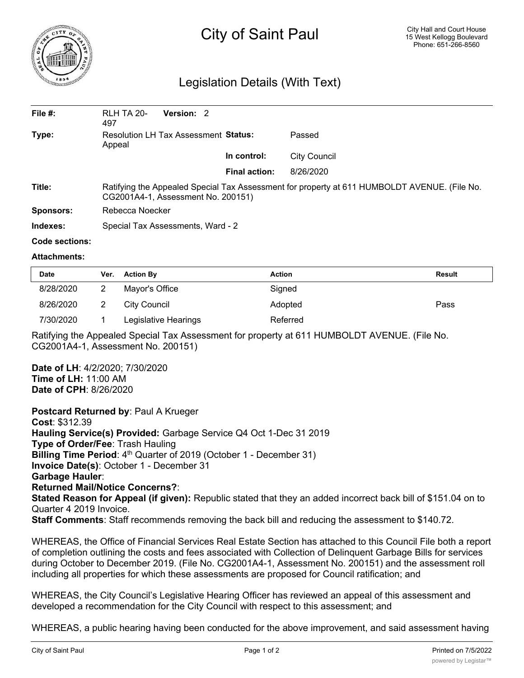

## City of Saint Paul

## Legislation Details (With Text)

| File $#$ : | <b>RLH TA 20-</b><br>497                                                                                                           | Version: 2 |                      |              |  |  |
|------------|------------------------------------------------------------------------------------------------------------------------------------|------------|----------------------|--------------|--|--|
| Type:      | Resolution LH Tax Assessment Status:<br>Appeal                                                                                     |            |                      | Passed       |  |  |
|            |                                                                                                                                    |            | In control:          | City Council |  |  |
|            |                                                                                                                                    |            | <b>Final action:</b> | 8/26/2020    |  |  |
| Title:     | Ratifying the Appealed Special Tax Assessment for property at 611 HUMBOLDT AVENUE. (File No.<br>CG2001A4-1, Assessment No. 200151) |            |                      |              |  |  |
| Sponsors:  | Rebecca Noecker                                                                                                                    |            |                      |              |  |  |
| Indexes:   | Special Tax Assessments, Ward - 2                                                                                                  |            |                      |              |  |  |

## **Code sections:**

## **Attachments:**

| <b>Date</b> | Ver. | <b>Action By</b>     | Action   | Result |
|-------------|------|----------------------|----------|--------|
| 8/28/2020   |      | Mayor's Office       | Signed   |        |
| 8/26/2020   |      | City Council         | Adopted  | Pass   |
| 7/30/2020   |      | Legislative Hearings | Referred |        |

Ratifying the Appealed Special Tax Assessment for property at 611 HUMBOLDT AVENUE. (File No. CG2001A4-1, Assessment No. 200151)

**Date of LH**: 4/2/2020; 7/30/2020 **Time of LH:** 11:00 AM **Date of CPH**: 8/26/2020

**Postcard Returned by**: Paul A Krueger

**Cost**: \$312.39 **Hauling Service(s) Provided:** Garbage Service Q4 Oct 1-Dec 31 2019 **Type of Order/Fee**: Trash Hauling **Billing Time Period**: 4<sup>th</sup> Quarter of 2019 (October 1 - December 31) **Invoice Date(s)**: October 1 - December 31 **Garbage Hauler**: **Returned Mail/Notice Concerns?**: **Stated Reason for Appeal (if given):** Republic stated that they an added incorrect back bill of \$151.04 on to Quarter 4 2019 Invoice.

**Staff Comments**: Staff recommends removing the back bill and reducing the assessment to \$140.72.

WHEREAS, the Office of Financial Services Real Estate Section has attached to this Council File both a report of completion outlining the costs and fees associated with Collection of Delinquent Garbage Bills for services during October to December 2019. (File No. CG2001A4-1, Assessment No. 200151) and the assessment roll including all properties for which these assessments are proposed for Council ratification; and

WHEREAS, the City Council's Legislative Hearing Officer has reviewed an appeal of this assessment and developed a recommendation for the City Council with respect to this assessment; and

WHEREAS, a public hearing having been conducted for the above improvement, and said assessment having